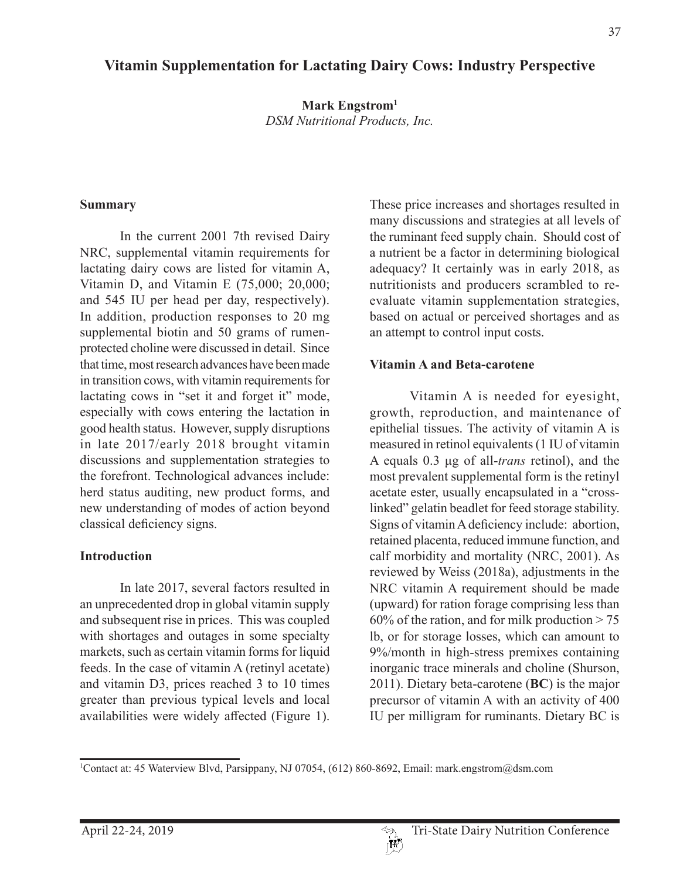# **Vitamin Supplementation for Lactating Dairy Cows: Industry Perspective**

**Mark Engstrom1** *DSM Nutritional Products, Inc.*

#### **Summary**

In the current 2001 7th revised Dairy NRC, supplemental vitamin requirements for lactating dairy cows are listed for vitamin A, Vitamin D, and Vitamin E (75,000; 20,000; and 545 IU per head per day, respectively). In addition, production responses to 20 mg supplemental biotin and 50 grams of rumenprotected choline were discussed in detail. Since that time, most research advances have been made in transition cows, with vitamin requirements for lactating cows in "set it and forget it" mode, especially with cows entering the lactation in good health status. However, supply disruptions in late 2017/early 2018 brought vitamin discussions and supplementation strategies to the forefront. Technological advances include: herd status auditing, new product forms, and new understanding of modes of action beyond classical deficiency signs.

### **Introduction**

In late 2017, several factors resulted in an unprecedented drop in global vitamin supply and subsequent rise in prices. This was coupled with shortages and outages in some specialty markets, such as certain vitamin forms for liquid feeds. In the case of vitamin A (retinyl acetate) and vitamin D3, prices reached 3 to 10 times greater than previous typical levels and local availabilities were widely affected (Figure 1).

These price increases and shortages resulted in many discussions and strategies at all levels of the ruminant feed supply chain. Should cost of a nutrient be a factor in determining biological adequacy? It certainly was in early 2018, as nutritionists and producers scrambled to reevaluate vitamin supplementation strategies, based on actual or perceived shortages and as an attempt to control input costs.

### **Vitamin A and Beta-carotene**

Vitamin A is needed for eyesight, growth, reproduction, and maintenance of epithelial tissues. The activity of vitamin A is measured in retinol equivalents (1 IU of vitamin A equals 0.3 μg of all-*trans* retinol), and the most prevalent supplemental form is the retinyl acetate ester, usually encapsulated in a "crosslinked" gelatin beadlet for feed storage stability. Signs of vitamin A deficiency include: abortion, retained placenta, reduced immune function, and calf morbidity and mortality (NRC, 2001). As reviewed by Weiss (2018a), adjustments in the NRC vitamin A requirement should be made (upward) for ration forage comprising less than 60% of the ration, and for milk production  $> 75$ lb, or for storage losses, which can amount to 9%/month in high-stress premixes containing inorganic trace minerals and choline (Shurson, 2011). Dietary beta-carotene (**BC**) is the major precursor of vitamin A with an activity of 400 IU per milligram for ruminants. Dietary BC is

<sup>1</sup> Contact at: 45 Waterview Blvd, Parsippany, NJ 07054, (612) 860-8692, Email: mark.engstrom@dsm.com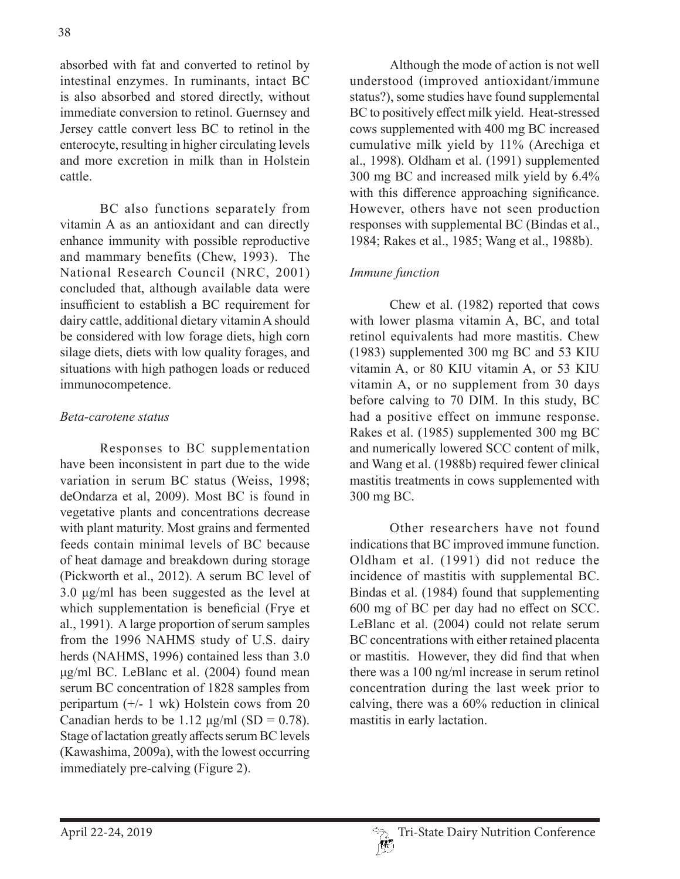absorbed with fat and converted to retinol by intestinal enzymes. In ruminants, intact BC is also absorbed and stored directly, without immediate conversion to retinol. Guernsey and Jersey cattle convert less BC to retinol in the enterocyte, resulting in higher circulating levels and more excretion in milk than in Holstein cattle.

BC also functions separately from vitamin A as an antioxidant and can directly enhance immunity with possible reproductive and mammary benefits (Chew, 1993). The National Research Council (NRC, 2001) concluded that, although available data were insufficient to establish a BC requirement for dairy cattle, additional dietary vitamin A should be considered with low forage diets, high corn silage diets, diets with low quality forages, and situations with high pathogen loads or reduced immunocompetence.

### *Beta-carotene status*

Responses to BC supplementation have been inconsistent in part due to the wide variation in serum BC status (Weiss, 1998; deOndarza et al, 2009). Most BC is found in vegetative plants and concentrations decrease with plant maturity. Most grains and fermented feeds contain minimal levels of BC because of heat damage and breakdown during storage (Pickworth et al., 2012). A serum BC level of 3.0 μg/ml has been suggested as the level at which supplementation is beneficial (Frye et al., 1991). A large proportion of serum samples from the 1996 NAHMS study of U.S. dairy herds (NAHMS, 1996) contained less than 3.0 μg/ml BC. LeBlanc et al. (2004) found mean serum BC concentration of 1828 samples from peripartum (+/- 1 wk) Holstein cows from 20 Canadian herds to be 1.12  $\mu$ g/ml (SD = 0.78). Stage of lactation greatly affects serum BC levels (Kawashima, 2009a), with the lowest occurring immediately pre-calving (Figure 2).

Although the mode of action is not well understood (improved antioxidant/immune status?), some studies have found supplemental BC to positively effect milk yield. Heat-stressed cows supplemented with 400 mg BC increased cumulative milk yield by 11% (Arechiga et al., 1998). Oldham et al. (1991) supplemented 300 mg BC and increased milk yield by 6.4% with this difference approaching significance. However, others have not seen production responses with supplemental BC (Bindas et al., 1984; Rakes et al., 1985; Wang et al., 1988b).

### *Immune function*

Chew et al. (1982) reported that cows with lower plasma vitamin A, BC, and total retinol equivalents had more mastitis. Chew (1983) supplemented 300 mg BC and 53 KIU vitamin A, or 80 KIU vitamin A, or 53 KIU vitamin A, or no supplement from 30 days before calving to 70 DIM. In this study, BC had a positive effect on immune response. Rakes et al. (1985) supplemented 300 mg BC and numerically lowered SCC content of milk, and Wang et al. (1988b) required fewer clinical mastitis treatments in cows supplemented with 300 mg BC.

Other researchers have not found indications that BC improved immune function. Oldham et al. (1991) did not reduce the incidence of mastitis with supplemental BC. Bindas et al. (1984) found that supplementing 600 mg of BC per day had no effect on SCC. LeBlanc et al. (2004) could not relate serum BC concentrations with either retained placenta or mastitis. However, they did find that when there was a 100 ng/ml increase in serum retinol concentration during the last week prior to calving, there was a 60% reduction in clinical mastitis in early lactation.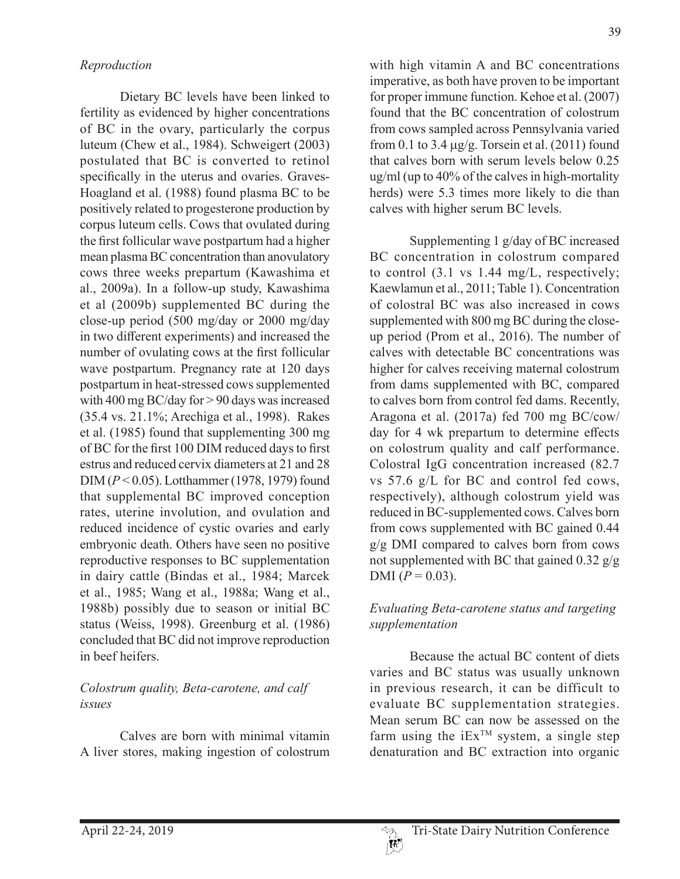Dietary BC levels have been linked to fertility as evidenced by higher concentrations of BC in the ovary, particularly the corpus luteum (Chew et al., 1984). Schweigert (2003) postulated that BC is converted to retinol specifically in the uterus and ovaries. Graves-Hoagland et al. (1988) found plasma BC to be positively related to progesterone production by corpus luteum cells. Cows that ovulated during the first follicular wave postpartum had a higher mean plasma BC concentration than anovulatory cows three weeks prepartum (Kawashima et al., 2009a). In a follow-up study, Kawashima et al (2009b) supplemented BC during the close-up period (500 mg/day or 2000 mg/day in two different experiments) and increased the number of ovulating cows at the first follicular wave postpartum. Pregnancy rate at 120 days postpartum in heat-stressed cows supplemented with 400 mg BC/day for > 90 days was increased (35.4 vs. 21.1%; Arechiga et al., 1998). Rakes et al. (1985) found that supplementing 300 mg of BC for the first 100 DIM reduced days to first estrus and reduced cervix diameters at 21 and 28 DIM (*P* < 0.05). Lotthammer (1978, 1979) found that supplemental BC improved conception rates, uterine involution, and ovulation and reduced incidence of cystic ovaries and early embryonic death. Others have seen no positive reproductive responses to BC supplementation in dairy cattle (Bindas et al., 1984; Marcek et al., 1985; Wang et al., 1988a; Wang et al., 1988b) possibly due to season or initial BC status (Weiss, 1998). Greenburg et al. (1986) concluded that BC did not improve reproduction in beef heifers.

## *Colostrum quality, Beta-carotene, and calf issues*

Calves are born with minimal vitamin A liver stores, making ingestion of colostrum with high vitamin A and BC concentrations imperative, as both have proven to be important for proper immune function. Kehoe et al. (2007) found that the BC concentration of colostrum from cows sampled across Pennsylvania varied from 0.1 to 3.4  $\mu$ g/g. Torsein et al. (2011) found that calves born with serum levels below 0.25 ug/ml (up to 40% of the calves in high-mortality herds) were 5.3 times more likely to die than calves with higher serum BC levels.

Supplementing 1 g/day of BC increased BC concentration in colostrum compared to control (3.1 vs 1.44 mg/L, respectively; Kaewlamun et al., 2011; Table 1). Concentration of colostral BC was also increased in cows supplemented with 800 mg BC during the closeup period (Prom et al., 2016). The number of calves with detectable BC concentrations was higher for calves receiving maternal colostrum from dams supplemented with BC, compared to calves born from control fed dams. Recently, Aragona et al. (2017a) fed 700 mg BC/cow/ day for 4 wk prepartum to determine effects on colostrum quality and calf performance. Colostral IgG concentration increased (82.7 vs 57.6 g/L for BC and control fed cows, respectively), although colostrum yield was reduced in BC-supplemented cows. Calves born from cows supplemented with BC gained 0.44 g/g DMI compared to calves born from cows not supplemented with BC that gained  $0.32$  g/g DMI  $(P = 0.03)$ .

## *Evaluating Beta-carotene status and targeting supplementation*

Because the actual BC content of diets varies and BC status was usually unknown in previous research, it can be difficult to evaluate BC supplementation strategies. Mean serum BC can now be assessed on the farm using the  $iEx^{TM}$  system, a single step denaturation and BC extraction into organic

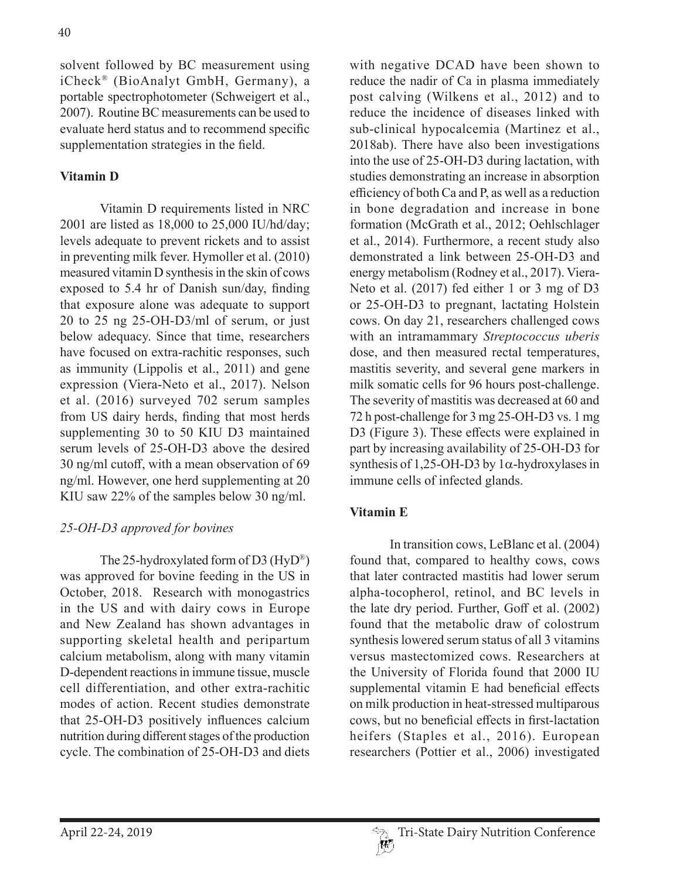solvent followed by BC measurement using iCheck® (BioAnalyt GmbH, Germany), a portable spectrophotometer (Schweigert et al., 2007). Routine BC measurements can be used to evaluate herd status and to recommend specific supplementation strategies in the field.

## **Vitamin D**

Vitamin D requirements listed in NRC 2001 are listed as 18,000 to 25,000 IU/hd/day; levels adequate to prevent rickets and to assist in preventing milk fever. Hymoller et al. (2010) measured vitamin D synthesis in the skin of cows exposed to 5.4 hr of Danish sun/day, finding that exposure alone was adequate to support 20 to 25 ng 25-OH-D3/ml of serum, or just below adequacy. Since that time, researchers have focused on extra-rachitic responses, such as immunity (Lippolis et al., 2011) and gene expression (Viera-Neto et al., 2017). Nelson et al. (2016) surveyed 702 serum samples from US dairy herds, finding that most herds supplementing 30 to 50 KIU D3 maintained serum levels of 25-OH-D3 above the desired 30 ng/ml cutoff, with a mean observation of 69 ng/ml. However, one herd supplementing at 20 KIU saw 22% of the samples below 30 ng/ml.

## *25-OH-D3 approved for bovines*

The 25-hydroxylated form of D3 (HyD®) was approved for bovine feeding in the US in October, 2018. Research with monogastrics in the US and with dairy cows in Europe and New Zealand has shown advantages in supporting skeletal health and peripartum calcium metabolism, along with many vitamin D-dependent reactions in immune tissue, muscle cell differentiation, and other extra-rachitic modes of action. Recent studies demonstrate that 25-OH-D3 positively influences calcium nutrition during different stages of the production cycle. The combination of 25-OH-D3 and diets

with negative DCAD have been shown to reduce the nadir of Ca in plasma immediately post calving (Wilkens et al., 2012) and to reduce the incidence of diseases linked with sub-clinical hypocalcemia (Martinez et al., 2018ab). There have also been investigations into the use of 25-OH-D3 during lactation, with studies demonstrating an increase in absorption efficiency of both Ca and P, as well as a reduction in bone degradation and increase in bone formation (McGrath et al., 2012; Oehlschlager et al., 2014). Furthermore, a recent study also demonstrated a link between 25-OH-D3 and energy metabolism (Rodney et al., 2017). Viera-Neto et al. (2017) fed either 1 or 3 mg of D3 or 25-OH-D3 to pregnant, lactating Holstein cows. On day 21, researchers challenged cows with an intramammary *Streptococcus uberis*  dose, and then measured rectal temperatures, mastitis severity, and several gene markers in milk somatic cells for 96 hours post-challenge. The severity of mastitis was decreased at 60 and 72 h post-challenge for 3 mg 25-OH-D3 vs. 1 mg D3 (Figure 3). These effects were explained in part by increasing availability of 25-OH-D3 for synthesis of 1,25-OH-D3 by  $1\alpha$ -hydroxylases in immune cells of infected glands.

## **Vitamin E**

In transition cows, LeBlanc et al. (2004) found that, compared to healthy cows, cows that later contracted mastitis had lower serum alpha-tocopherol, retinol, and BC levels in the late dry period. Further, Goff et al. (2002) found that the metabolic draw of colostrum synthesis lowered serum status of all 3 vitamins versus mastectomized cows. Researchers at the University of Florida found that 2000 IU supplemental vitamin E had beneficial effects on milk production in heat-stressed multiparous cows, but no beneficial effects in first-lactation heifers (Staples et al., 2016). European researchers (Pottier et al., 2006) investigated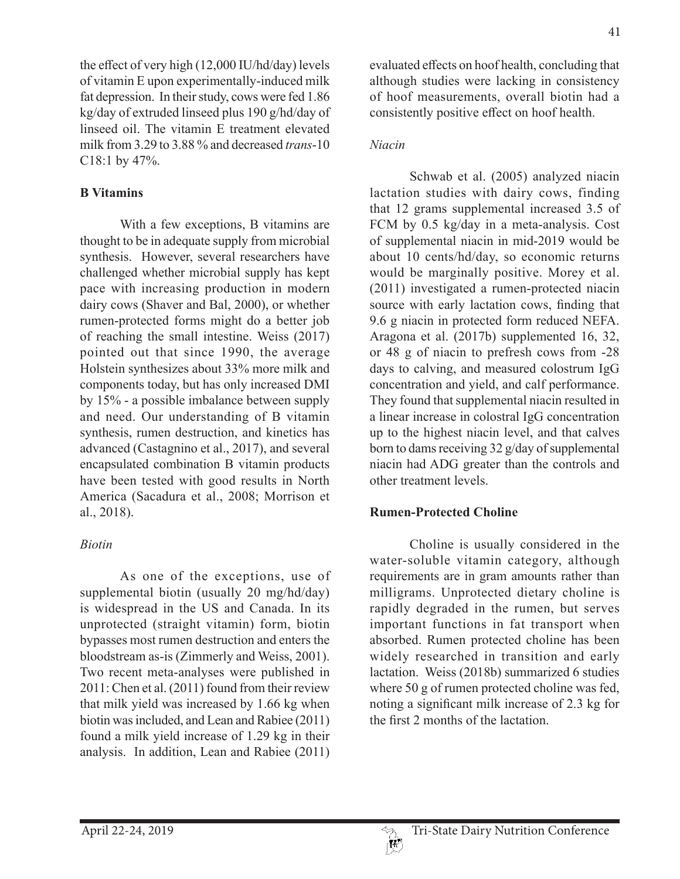the effect of very high (12,000 IU/hd/day) levels of vitamin E upon experimentally-induced milk fat depression. In their study, cows were fed 1.86 kg/day of extruded linseed plus 190 g/hd/day of linseed oil. The vitamin E treatment elevated milk from 3.29 to 3.88 % and decreased *trans*-10 C18:1 by 47%.

### **B Vitamins**

With a few exceptions, B vitamins are thought to be in adequate supply from microbial synthesis. However, several researchers have challenged whether microbial supply has kept pace with increasing production in modern dairy cows (Shaver and Bal, 2000), or whether rumen-protected forms might do a better job of reaching the small intestine. Weiss (2017) pointed out that since 1990, the average Holstein synthesizes about 33% more milk and components today, but has only increased DMI by 15% - a possible imbalance between supply and need. Our understanding of B vitamin synthesis, rumen destruction, and kinetics has advanced (Castagnino et al., 2017), and several encapsulated combination B vitamin products have been tested with good results in North America (Sacadura et al., 2008; Morrison et al., 2018).

### *Biotin*

As one of the exceptions, use of supplemental biotin (usually 20 mg/hd/day) is widespread in the US and Canada. In its unprotected (straight vitamin) form, biotin bypasses most rumen destruction and enters the bloodstream as-is (Zimmerly and Weiss, 2001). Two recent meta-analyses were published in 2011: Chen et al. (2011) found from their review that milk yield was increased by 1.66 kg when biotin was included, and Lean and Rabiee (2011) found a milk yield increase of 1.29 kg in their analysis. In addition, Lean and Rabiee (2011)

evaluated effects on hoof health, concluding that although studies were lacking in consistency of hoof measurements, overall biotin had a consistently positive effect on hoof health.

### *Niacin*

Schwab et al. (2005) analyzed niacin lactation studies with dairy cows, finding that 12 grams supplemental increased 3.5 of FCM by 0.5 kg/day in a meta-analysis. Cost of supplemental niacin in mid-2019 would be about 10 cents/hd/day, so economic returns would be marginally positive. Morey et al. (2011) investigated a rumen-protected niacin source with early lactation cows, finding that 9.6 g niacin in protected form reduced NEFA. Aragona et al. (2017b) supplemented 16, 32, or 48 g of niacin to prefresh cows from -28 days to calving, and measured colostrum IgG concentration and yield, and calf performance. They found that supplemental niacin resulted in a linear increase in colostral IgG concentration up to the highest niacin level, and that calves born to dams receiving 32 g/day of supplemental niacin had ADG greater than the controls and other treatment levels.

## **Rumen-Protected Choline**

Choline is usually considered in the water-soluble vitamin category, although requirements are in gram amounts rather than milligrams. Unprotected dietary choline is rapidly degraded in the rumen, but serves important functions in fat transport when absorbed. Rumen protected choline has been widely researched in transition and early lactation. Weiss (2018b) summarized 6 studies where 50 g of rumen protected choline was fed, noting a significant milk increase of 2.3 kg for the first 2 months of the lactation.

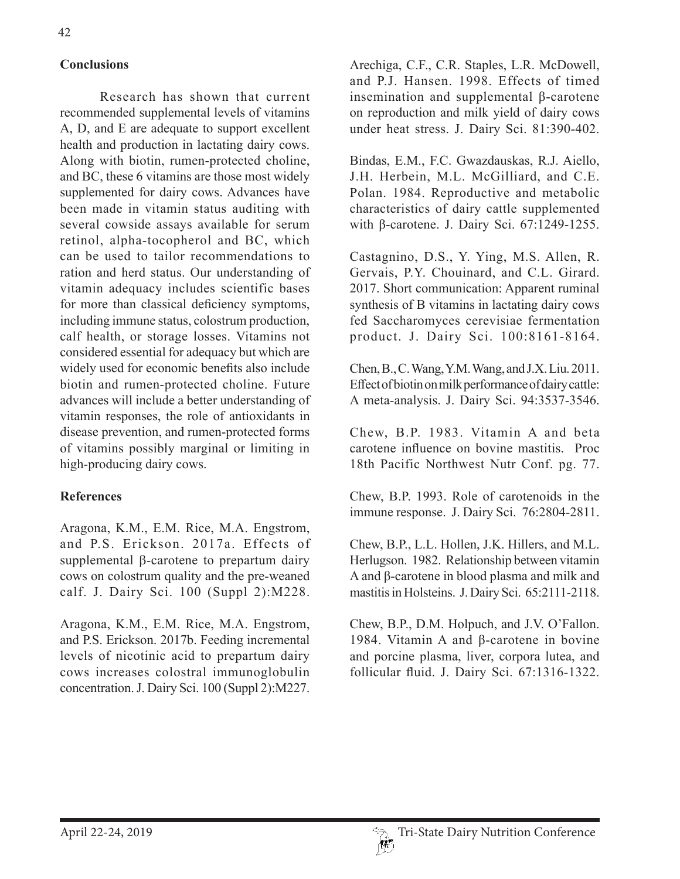### **Conclusions**

Research has shown that current recommended supplemental levels of vitamins A, D, and E are adequate to support excellent health and production in lactating dairy cows. Along with biotin, rumen-protected choline, and BC, these 6 vitamins are those most widely supplemented for dairy cows. Advances have been made in vitamin status auditing with several cowside assays available for serum retinol, alpha-tocopherol and BC, which can be used to tailor recommendations to ration and herd status. Our understanding of vitamin adequacy includes scientific bases for more than classical deficiency symptoms, including immune status, colostrum production, calf health, or storage losses. Vitamins not considered essential for adequacy but which are widely used for economic benefits also include biotin and rumen-protected choline. Future advances will include a better understanding of vitamin responses, the role of antioxidants in disease prevention, and rumen-protected forms of vitamins possibly marginal or limiting in high-producing dairy cows.

### **References**

Aragona, K.M., E.M. Rice, M.A. Engstrom, and P.S. Erickson. 2017a. Effects of supplemental  $\beta$ -carotene to prepartum dairy cows on colostrum quality and the pre-weaned calf. J. Dairy Sci. 100 (Suppl 2):M228.

Aragona, K.M., E.M. Rice, M.A. Engstrom, and P.S. Erickson. 2017b. Feeding incremental levels of nicotinic acid to prepartum dairy cows increases colostral immunoglobulin concentration. J. Dairy Sci. 100 (Suppl 2):M227.

Arechiga, C.F., C.R. Staples, L.R. McDowell, and P.J. Hansen. 1998. Effects of timed insemination and supplemental β-carotene on reproduction and milk yield of dairy cows under heat stress. J. Dairy Sci. 81:390-402.

Bindas, E.M., F.C. Gwazdauskas, R.J. Aiello, J.H. Herbein, M.L. McGilliard, and C.E. Polan. 1984. Reproductive and metabolic characteristics of dairy cattle supplemented with β-carotene. J. Dairy Sci. 67:1249-1255.

Castagnino, D.S., Y. Ying, M.S. Allen, R. Gervais, P.Y. Chouinard, and C.L. Girard. 2017. Short communication: Apparent ruminal synthesis of B vitamins in lactating dairy cows fed Saccharomyces cerevisiae fermentation product. J. Dairy Sci. 100:8161-8164.

Chen, B., C. Wang, Y.M. Wang, and J.X. Liu. 2011. Effect of biotin on milk performance of dairy cattle: A meta-analysis. J. Dairy Sci. 94:3537-3546.

Chew, B.P. 1983. Vitamin A and beta carotene influence on bovine mastitis. Proc 18th Pacific Northwest Nutr Conf. pg. 77.

Chew, B.P. 1993. Role of carotenoids in the immune response. J. Dairy Sci. 76:2804-2811.

Chew, B.P., L.L. Hollen, J.K. Hillers, and M.L. Herlugson. 1982. Relationship between vitamin A and β-carotene in blood plasma and milk and mastitis in Holsteins. J. Dairy Sci. 65:2111-2118.

Chew, B.P., D.M. Holpuch, and J.V. O'Fallon. 1984. Vitamin A and β-carotene in bovine and porcine plasma, liver, corpora lutea, and follicular fluid. J. Dairy Sci. 67:1316-1322.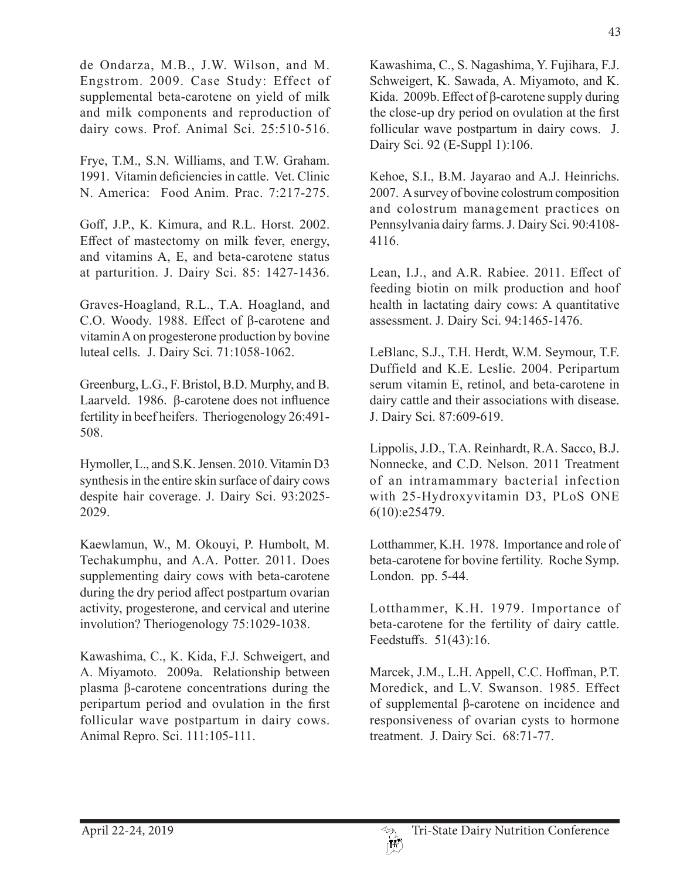de Ondarza, M.B., J.W. Wilson, and M. Engstrom. 2009. Case Study: Effect of supplemental beta-carotene on yield of milk and milk components and reproduction of dairy cows. Prof. Animal Sci. 25:510-516.

Frye, T.M., S.N. Williams, and T.W. Graham. 1991. Vitamin deficiencies in cattle. Vet. Clinic N. America: Food Anim. Prac. 7:217-275.

Goff, J.P., K. Kimura, and R.L. Horst. 2002. Effect of mastectomy on milk fever, energy, and vitamins A, E, and beta-carotene status at parturition. J. Dairy Sci. 85: 1427-1436.

Graves-Hoagland, R.L., T.A. Hoagland, and C.O. Woody. 1988. Effect of β-carotene and vitamin A on progesterone production by bovine luteal cells. J. Dairy Sci. 71:1058-1062.

Greenburg, L.G., F. Bristol, B.D. Murphy, and B. Laarveld. 1986. β-carotene does not influence fertility in beef heifers. Theriogenology 26:491- 508.

Hymoller, L., and S.K. Jensen. 2010. Vitamin D3 synthesis in the entire skin surface of dairy cows despite hair coverage. J. Dairy Sci. 93:2025- 2029.

Kaewlamun, W., M. Okouyi, P. Humbolt, M. Techakumphu, and A.A. Potter. 2011. Does supplementing dairy cows with beta-carotene during the dry period affect postpartum ovarian activity, progesterone, and cervical and uterine involution? Theriogenology 75:1029-1038.

Kawashima, C., K. Kida, F.J. Schweigert, and A. Miyamoto. 2009a. Relationship between plasma β-carotene concentrations during the peripartum period and ovulation in the first follicular wave postpartum in dairy cows. Animal Repro. Sci. 111:105-111.

Kawashima, C., S. Nagashima, Y. Fujihara, F.J. Schweigert, K. Sawada, A. Miyamoto, and K. Kida. 2009b. Effect of β-carotene supply during the close-up dry period on ovulation at the first follicular wave postpartum in dairy cows. J. Dairy Sci. 92 (E-Suppl 1):106.

Kehoe, S.I., B.M. Jayarao and A.J. Heinrichs. 2007. A survey of bovine colostrum composition and colostrum management practices on Pennsylvania dairy farms. J. Dairy Sci. 90:4108- 4116.

Lean, I.J., and A.R. Rabiee. 2011. Effect of feeding biotin on milk production and hoof health in lactating dairy cows: A quantitative assessment. J. Dairy Sci. 94:1465-1476.

LeBlanc, S.J., T.H. Herdt, W.M. Seymour, T.F. Duffield and K.E. Leslie. 2004. Peripartum serum vitamin E, retinol, and beta-carotene in dairy cattle and their associations with disease. J. Dairy Sci. 87:609-619.

Lippolis, J.D., T.A. Reinhardt, R.A. Sacco, B.J. Nonnecke, and C.D. Nelson. 2011 Treatment of an intramammary bacterial infection with 25-Hydroxyvitamin D3, PLoS ONE 6(10):e25479.

Lotthammer, K.H. 1978. Importance and role of beta-carotene for bovine fertility. Roche Symp. London. pp. 5-44.

Lotthammer, K.H. 1979. Importance of beta-carotene for the fertility of dairy cattle. Feedstuffs. 51(43):16.

Marcek, J.M., L.H. Appell, C.C. Hoffman, P.T. Moredick, and L.V. Swanson. 1985. Effect of supplemental β-carotene on incidence and responsiveness of ovarian cysts to hormone treatment. J. Dairy Sci. 68:71-77.

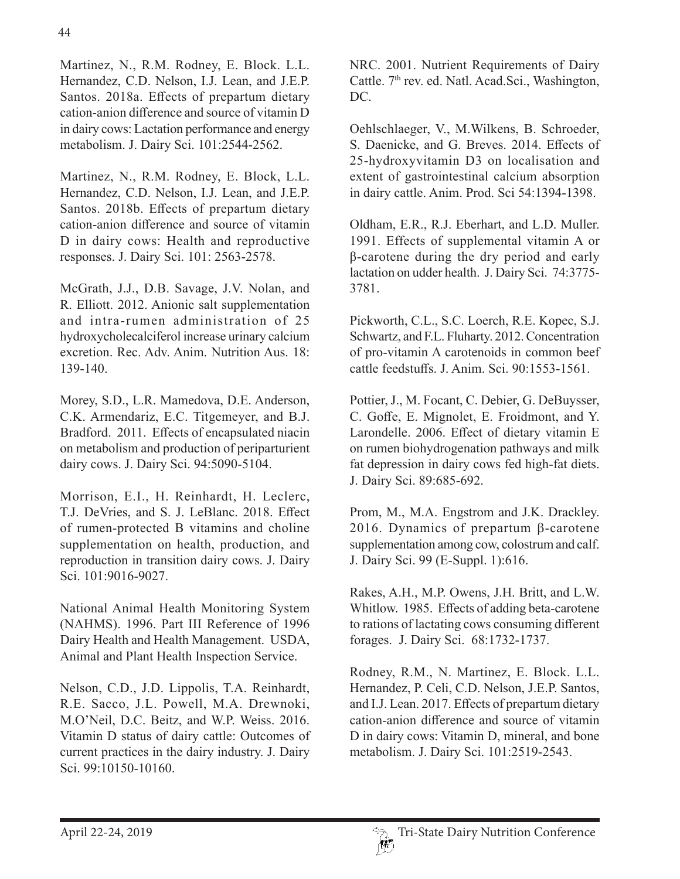Martinez, N., R.M. Rodney, E. Block. L.L. Hernandez, C.D. Nelson, I.J. Lean, and J.E.P. Santos. 2018a. Effects of prepartum dietary cation-anion difference and source of vitamin D in dairy cows: Lactation performance and energy metabolism. J. Dairy Sci. 101:2544-2562.

Martinez, N., R.M. Rodney, E. Block, L.L. Hernandez, C.D. Nelson, I.J. Lean, and J.E.P. Santos. 2018b. Effects of prepartum dietary cation-anion difference and source of vitamin D in dairy cows: Health and reproductive responses. J. Dairy Sci. 101: 2563-2578.

McGrath, J.J., D.B. Savage, J.V. Nolan, and R. Elliott. 2012. Anionic salt supplementation and intra-rumen administration of 25 hydroxycholecalciferol increase urinary calcium excretion. Rec. Adv. Anim. Nutrition Aus. 18: 139-140.

Morey, S.D., L.R. Mamedova, D.E. Anderson, C.K. Armendariz, E.C. Titgemeyer, and B.J. Bradford. 2011. Effects of encapsulated niacin on metabolism and production of periparturient dairy cows. J. Dairy Sci. 94:5090-5104.

Morrison, E.I., H. Reinhardt, H. Leclerc, T.J. DeVries, and S. J. LeBlanc. 2018. Effect of rumen-protected B vitamins and choline supplementation on health, production, and reproduction in transition dairy cows. J. Dairy Sci. 101:9016-9027.

National Animal Health Monitoring System (NAHMS). 1996. Part III Reference of 1996 Dairy Health and Health Management. USDA, Animal and Plant Health Inspection Service.

Nelson, C.D., J.D. Lippolis, T.A. Reinhardt, R.E. Sacco, J.L. Powell, M.A. Drewnoki, M.O'Neil, D.C. Beitz, and W.P. Weiss. 2016. Vitamin D status of dairy cattle: Outcomes of current practices in the dairy industry. J. Dairy Sci. 99:10150-10160.

NRC. 2001. Nutrient Requirements of Dairy Cattle. 7<sup>th</sup> rev. ed. Natl. Acad.Sci., Washington, DC.

Oehlschlaeger, V., M.Wilkens, B. Schroeder, S. Daenicke, and G. Breves. 2014. Effects of 25-hydroxyvitamin D3 on localisation and extent of gastrointestinal calcium absorption in dairy cattle. Anim. Prod. Sci 54:1394-1398.

Oldham, E.R., R.J. Eberhart, and L.D. Muller. 1991. Effects of supplemental vitamin A or β-carotene during the dry period and early lactation on udder health. J. Dairy Sci. 74:3775- 3781.

Pickworth, C.L., S.C. Loerch, R.E. Kopec, S.J. Schwartz, and F.L. Fluharty. 2012. Concentration of pro-vitamin A carotenoids in common beef cattle feedstuffs. J. Anim. Sci. 90:1553-1561.

Pottier, J., M. Focant, C. Debier, G. DeBuysser, C. Goffe, E. Mignolet, E. Froidmont, and Y. Larondelle. 2006. Effect of dietary vitamin E on rumen biohydrogenation pathways and milk fat depression in dairy cows fed high-fat diets. J. Dairy Sci. 89:685-692.

Prom, M., M.A. Engstrom and J.K. Drackley. 2016. Dynamics of prepartum  $\beta$ -carotene supplementation among cow, colostrum and calf. J. Dairy Sci. 99 (E-Suppl. 1):616.

Rakes, A.H., M.P. Owens, J.H. Britt, and L.W. Whitlow. 1985. Effects of adding beta-carotene to rations of lactating cows consuming different forages. J. Dairy Sci. 68:1732-1737.

Rodney, R.M., N. Martinez, E. Block. L.L. Hernandez, P. Celi, C.D. Nelson, J.E.P. Santos, and I.J. Lean. 2017. Effects of prepartum dietary cation-anion difference and source of vitamin D in dairy cows: Vitamin D, mineral, and bone metabolism. J. Dairy Sci. 101:2519-2543.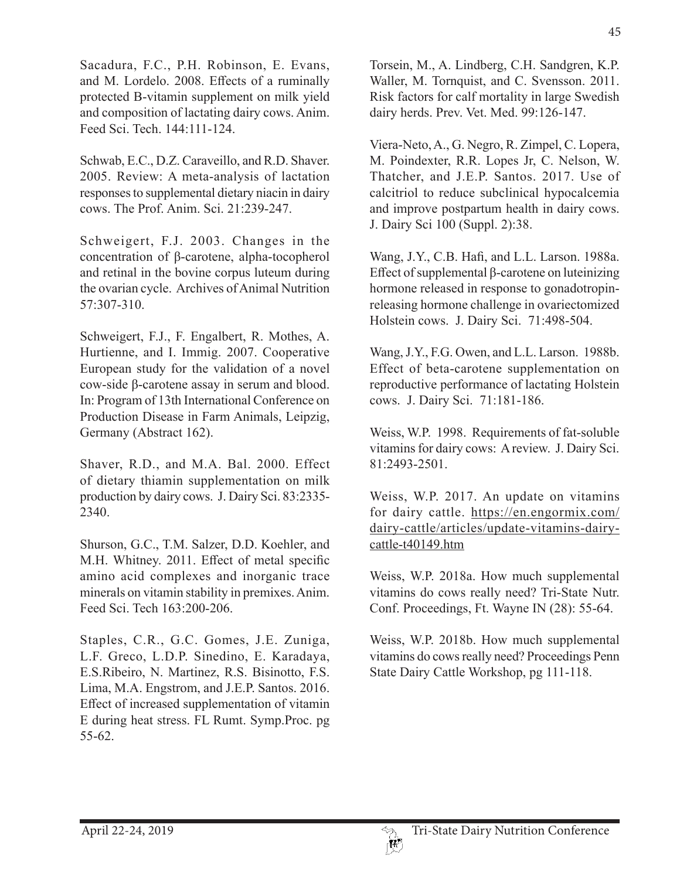Sacadura, F.C., P.H. Robinson, E. Evans, and M. Lordelo. 2008. Effects of a ruminally protected B-vitamin supplement on milk yield and composition of lactating dairy cows. Anim. Feed Sci. Tech. 144:111-124.

Schwab, E.C., D.Z. Caraveillo, and R.D. Shaver. 2005. Review: A meta-analysis of lactation responses to supplemental dietary niacin in dairy cows. The Prof. Anim. Sci. 21:239-247.

Schweigert, F.J. 2003. Changes in the concentration of β-carotene, alpha-tocopherol and retinal in the bovine corpus luteum during the ovarian cycle. Archives of Animal Nutrition 57:307-310.

Schweigert, F.J., F. Engalbert, R. Mothes, A. Hurtienne, and I. Immig. 2007. Cooperative European study for the validation of a novel cow-side β-carotene assay in serum and blood. In: Program of 13th International Conference on Production Disease in Farm Animals, Leipzig, Germany (Abstract 162).

Shaver, R.D., and M.A. Bal. 2000. Effect of dietary thiamin supplementation on milk production by dairy cows. J. Dairy Sci. 83:2335- 2340.

Shurson, G.C., T.M. Salzer, D.D. Koehler, and M.H. Whitney. 2011. Effect of metal specific amino acid complexes and inorganic trace minerals on vitamin stability in premixes. Anim. Feed Sci. Tech 163:200-206.

Staples, C.R., G.C. Gomes, J.E. Zuniga, L.F. Greco, L.D.P. Sinedino, E. Karadaya, E.S.Ribeiro, N. Martinez, R.S. Bisinotto, F.S. Lima, M.A. Engstrom, and J.E.P. Santos. 2016. Effect of increased supplementation of vitamin E during heat stress. FL Rumt. Symp.Proc. pg 55-62.

Torsein, M., A. Lindberg, C.H. Sandgren, K.P. Waller, M. Tornquist, and C. Svensson. 2011. Risk factors for calf mortality in large Swedish dairy herds. Prev. Vet. Med. 99:126-147.

Viera-Neto, A., G. Negro, R. Zimpel, C. Lopera, M. Poindexter, R.R. Lopes Jr, C. Nelson, W. Thatcher, and J.E.P. Santos. 2017. Use of calcitriol to reduce subclinical hypocalcemia and improve postpartum health in dairy cows. J. Dairy Sci 100 (Suppl. 2):38.

Wang, J.Y., C.B. Hafi, and L.L. Larson. 1988a. Effect of supplemental β-carotene on luteinizing hormone released in response to gonadotropinreleasing hormone challenge in ovariectomized Holstein cows. J. Dairy Sci. 71:498-504.

Wang, J.Y., F.G. Owen, and L.L. Larson. 1988b. Effect of beta-carotene supplementation on reproductive performance of lactating Holstein cows. J. Dairy Sci. 71:181-186.

Weiss, W.P. 1998. Requirements of fat-soluble vitamins for dairy cows: A review. J. Dairy Sci. 81:2493-2501.

Weiss, W.P. 2017. An update on vitamins for dairy cattle. https://en.engormix.com/ dairy-cattle/articles/update-vitamins-dairycattle-t40149.htm

Weiss, W.P. 2018a. How much supplemental vitamins do cows really need? Tri-State Nutr. Conf. Proceedings, Ft. Wayne IN (28): 55-64.

Weiss, W.P. 2018b. How much supplemental vitamins do cows really need? Proceedings Penn State Dairy Cattle Workshop, pg 111-118.

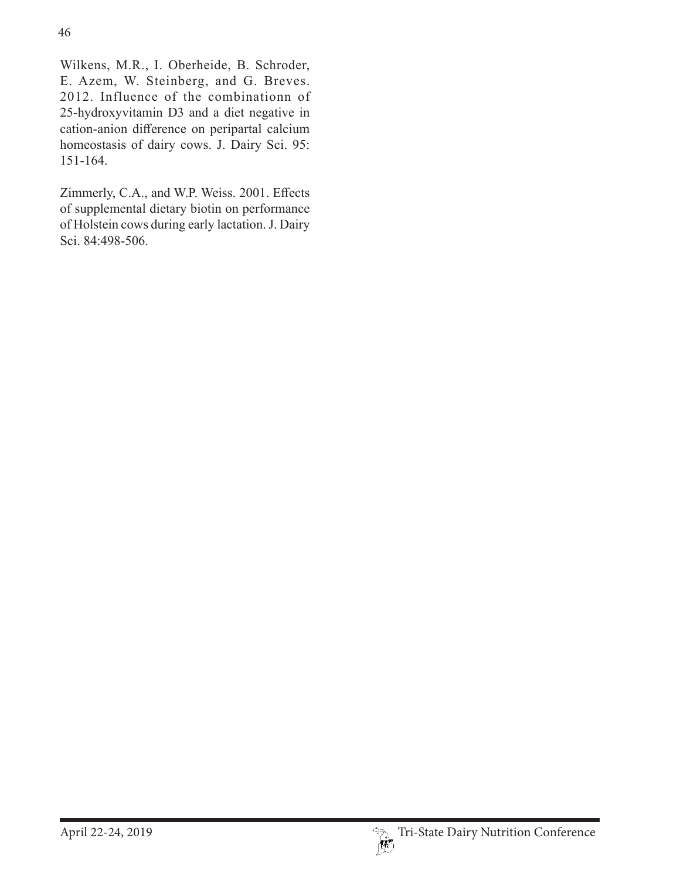Wilkens, M.R., I. Oberheide, B. Schroder, E. Azem, W. Steinberg, and G. Breves. 2012. Influence of the combinationn of 25-hydroxyvitamin D3 and a diet negative in cation-anion difference on peripartal calcium homeostasis of dairy cows. J. Dairy Sci. 95: 151-164.

Zimmerly, C.A., and W.P. Weiss. 2001. Effects of supplemental dietary biotin on performance of Holstein cows during early lactation. J. Dairy Sci. 84:498-506.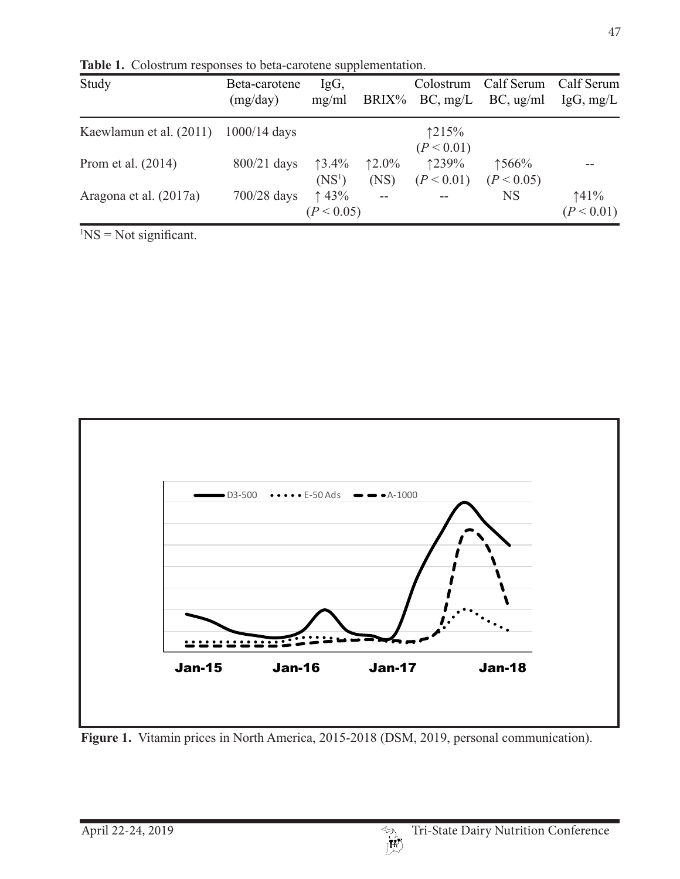| Study                   | Beta-carotene<br>(mg/day) | IgG,<br>mg/ml      |          | Colostrum<br>$BRIX\%$ BC, mg/L | Calf Serum Calf Serum<br>BC, ug/ml | IgG, mg/L  |
|-------------------------|---------------------------|--------------------|----------|--------------------------------|------------------------------------|------------|
| Kaewlamun et al. (2011) | $1000/14$ days            |                    |          | 1215%                          |                                    |            |
|                         |                           |                    |          | (P < 0.01)                     |                                    |            |
| Prom et al. (2014)      | $800/21$ days             | $13.4\%$           | $12.0\%$ | 1239%                          | ↑566%                              |            |
|                         |                           | (NS <sup>1</sup> ) | (NS)     | (P < 0.01)                     | (P < 0.05)                         |            |
| Aragona et al. (2017a)  | $700/28$ days             | $\uparrow$ 43%     |          |                                | <b>NS</b>                          | 141%       |
|                         |                           | (P < 0.05)         |          |                                |                                    | (P < 0.01) |

**Table 1.** Colostrum responses to beta-carotene supplementation.

 ${}^{1}NS = Not$  significant.



Figure 1. Vitamin prices in North America, 2015-2018 (DSM, 2019, personal communication).